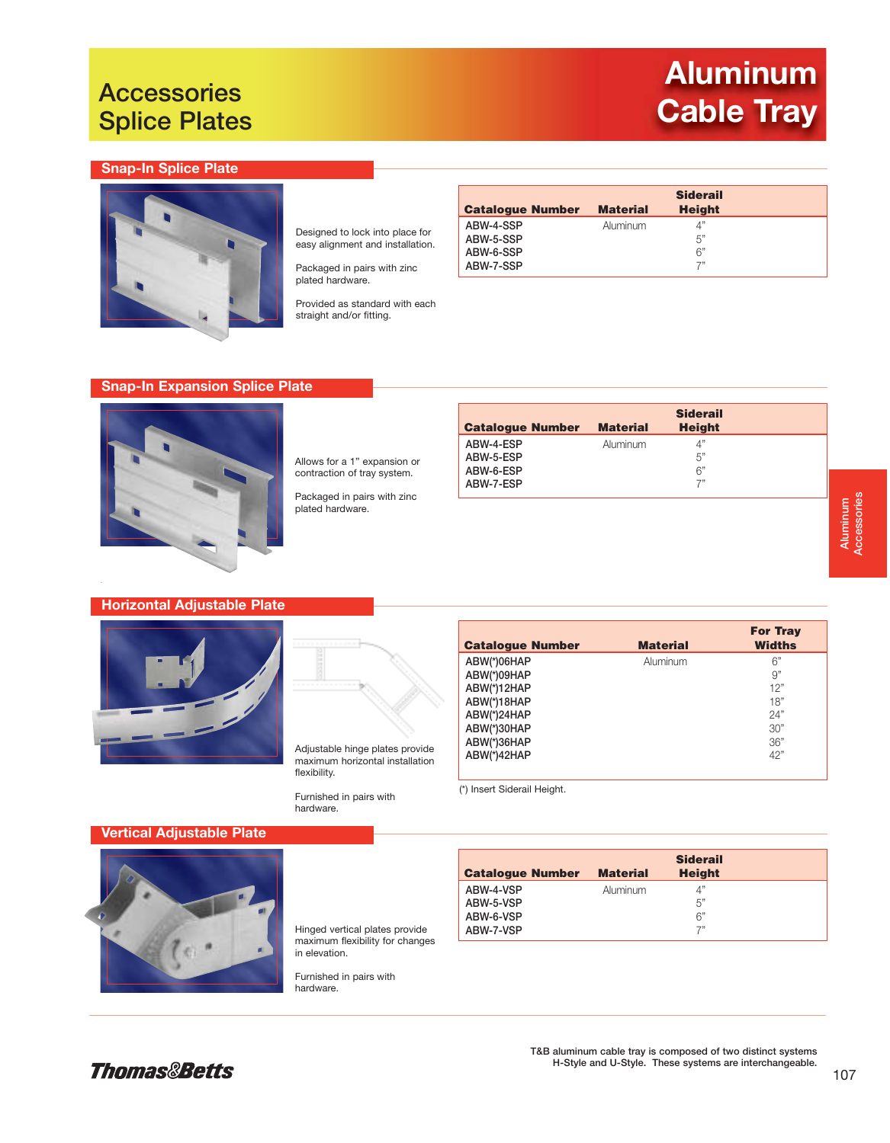### **Accessories Splice Plates**

# **Aluminum Cable Tray**

#### **Snap-In Splice Plate**



Designed to lock into place for easy alignment and installation.

Packaged in pairs with zinc plated hardware.

Provided as standard with each straight and/or fitting.

| <b>Catalogue Number</b> | <b>Material</b> | <b>Siderail</b><br><b>Height</b> |
|-------------------------|-----------------|----------------------------------|
| ABW-4-SSP               | Aluminum        | 4"                               |
| ABW-5-SSP               |                 | 5"                               |
| ABW-6-SSP               |                 | 6"                               |
| ABW-7-SSP               |                 | 7"                               |

#### **Snap-In Expansion Splice Plate**



Allows for a 1" expansion or contraction of tray system.

Packaged in pairs with zinc plated hardware.

| <b>Catalogue Number</b>                          | <b>Material</b> | <b>Siderail</b><br><b>Height</b> |  |
|--------------------------------------------------|-----------------|----------------------------------|--|
| ABW-4-ESP<br>ABW-5-ESP<br>ABW-6-ESP<br>ABW-7-ESP | Aluminum        | 4"<br>5"<br>6"<br>7"             |  |

#### **Horizontal Adjustable Plate**



|  | Adjustable hinge plates provide |  |
|--|---------------------------------|--|
|  | maximum horizontal installation |  |

flexibility. Furnished in pairs with

hardware.

| <b>Catalogue Number</b> | <b>Material</b> | <b>For Tray</b><br><b>Widths</b> |
|-------------------------|-----------------|----------------------------------|
| ABW(*)06HAP             | Aluminum        | 6"                               |
| ABW(*)09HAP             |                 | 9"                               |
| ABW(*)12HAP             |                 | 12"                              |
| ABW(*)18HAP             |                 | 18"                              |
| ABW(*)24HAP             |                 | 24"                              |
| ABW(*)30HAP             |                 | 30"                              |
| ABW(*)36HAP             |                 | 36"                              |
| ABW(*)42HAP             |                 | 42"                              |

(\*) Insert Siderail Height.

#### **Vertical Adjustable Plate**



**Thomas&Betts** 

Hinged vertical plates provide maximum flexibility for changes in elevation.

Furnished in pairs with hardware.

|                         |                 | <b>Siderail</b> |  |
|-------------------------|-----------------|-----------------|--|
| <b>Catalogue Number</b> | <b>Material</b> | <b>Height</b>   |  |
| ABW-4-VSP               | Aluminum        | 4"              |  |
| ABW-5-VSP               |                 | 5"              |  |
| ABW-6-VSP               |                 | 6"              |  |
| ABW-7-VSP               |                 | 7"              |  |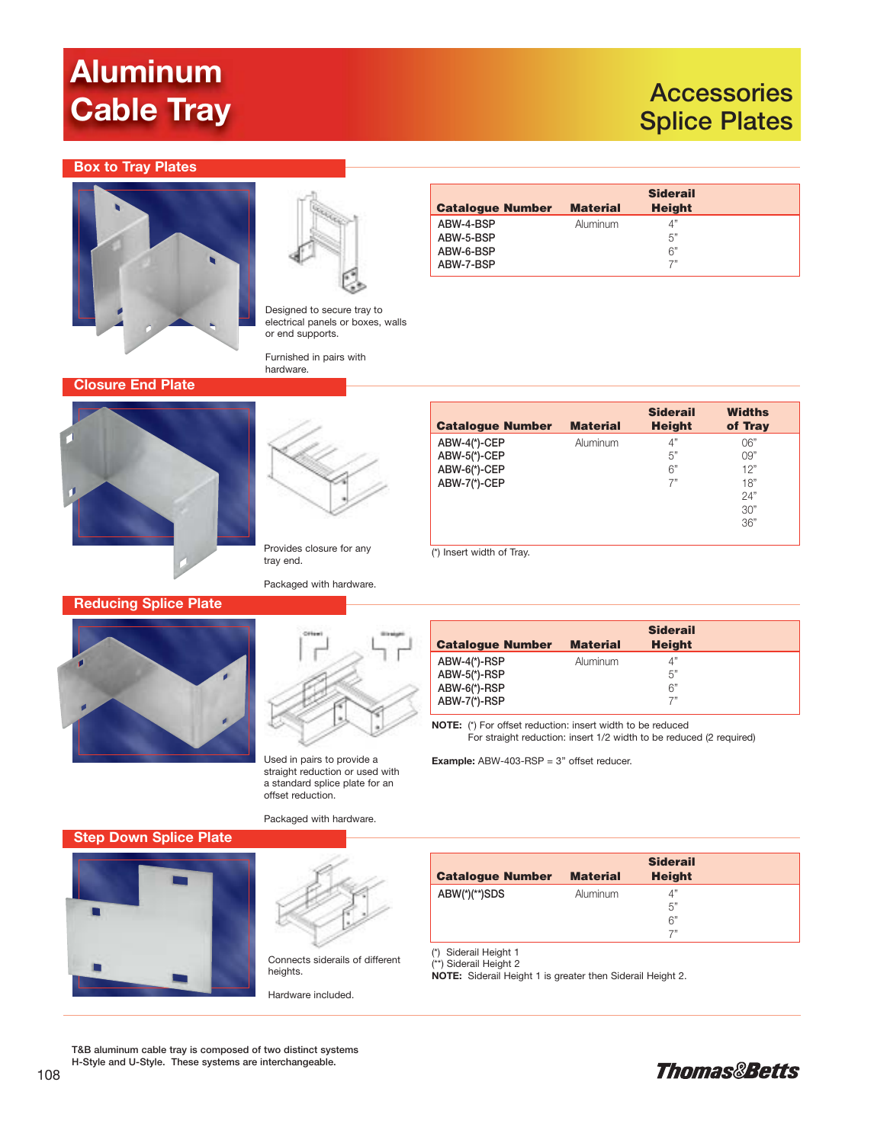### **Accessories Splice Plates**

**Siderail**

#### **Box to Tray Plates**





Designed to secure tray to electrical panels or boxes, walls or end supports.

Furnished in pairs with hardware.

#### **Closure End Plate**





Provides closure for any tray end.

Packaged with hardware.

#### **Reducing Splice Plate**





Used in pairs to provide a straight reduction or used with a standard splice plate for an offset reduction.

Packaged with hardware.

| <b>Catalogue Number</b>                                      | <b>Material</b> | <b>Siderail</b><br><b>Height</b> | <b>Widths</b><br>of Tray                      |
|--------------------------------------------------------------|-----------------|----------------------------------|-----------------------------------------------|
| ABW-4(*)-CEP<br>ABW-5(*)-CEP<br>ABW-6(*)-CEP<br>ABW-7(*)-CEP | Aluminum        | 4"<br>5"<br>6"<br>7"             | 06"<br>09"<br>12"<br>18"<br>24"<br>30"<br>36" |

**ABW-4-BSP Aluminum** 4"<br> **ABW-5-BSP** 5"

**Catalogue Number Material** 

**ABW-6-BSP** 6"<br> **ABW-7-BSP** 7"

(\*) Insert width of Tray.

 $ABW-5-BSP$ 

ABW-7-BSP

|                         |                 | <b>Siderail</b> |
|-------------------------|-----------------|-----------------|
| <b>Catalogue Number</b> | <b>Material</b> | <b>Height</b>   |
| ABW-4(*)-RSP            | Aluminum        | 4"              |
| ABW-5(*)-RSP            |                 | 5"              |
| ABW-6(*)-RSP            |                 | 6"              |
| ABW-7(*)-RSP            |                 | 7"              |

**NOTE:** (\*) For offset reduction: insert width to be reduced For straight reduction: insert 1/2 width to be reduced (2 required)

**Example:** ABW-403-RSP = 3" offset reducer.

| <b>Step Down Splice Plate</b> |
|-------------------------------|
|                               |
|                               |
|                               |



heights.

Hardware included.

|                         | <b>Siderail</b> |                      |  |
|-------------------------|-----------------|----------------------|--|
| <b>Catalogue Number</b> | <b>Material</b> | <b>Height</b>        |  |
| ABW(*)(**)SDS           | Aluminum        | 4"<br>5"<br>6"<br>7" |  |

(\*) Siderail Height 1 (\*\*) Siderail Height 2

**NOTE:** Siderail Height 1 is greater then Siderail Height 2.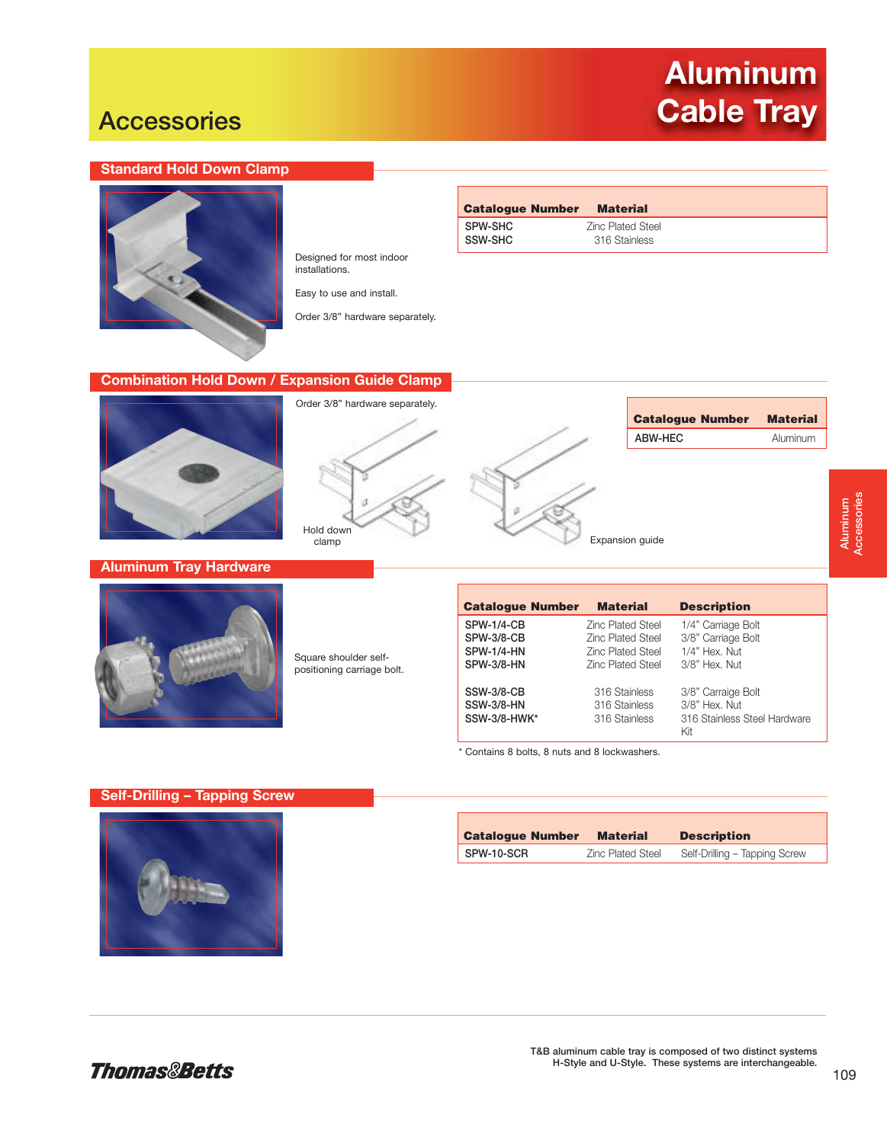**ABW-HEC** Aluminum **Catalogue Number Material**

## **Accessories**



#### **Combination Hold Down / Expansion Guide Clamp**



Order 3/8" hardware separately.

Expansion guide



**Aluminum Tray Hardware**

Square shoulder selfpositioning carriage bolt.

Hold down

| <b>Catalogue Number</b> | <b>Material</b>          | <b>Description</b>           |
|-------------------------|--------------------------|------------------------------|
| <b>SPW-1/4-CB</b>       | <b>Zinc Plated Steel</b> | 1/4" Carriage Bolt           |
| <b>SPW-3/8-CB</b>       | Zinc Plated Steel        | 3/8" Carriage Bolt           |
| <b>SPW-1/4-HN</b>       | Zinc Plated Steel        | 1/4" Hex. Nut                |
| <b>SPW-3/8-HN</b>       | <b>Zinc Plated Steel</b> | 3/8" Hex. Nut                |
|                         |                          |                              |
| <b>SSW-3/8-CB</b>       | 316 Stainless            | 3/8" Carraige Bolt           |
| <b>SSW-3/8-HN</b>       | 316 Stainless            | 3/8" Hex. Nut                |
| SSW-3/8-HWK*            | 316 Stainless            | 316 Stainless Steel Hardware |
|                         |                          | Kit                          |

\* Contains 8 bolts, 8 nuts and 8 lockwashers.

#### **Self-Drilling – Tapping Screw**



| <b>Catalogue Number</b> | <b>Material</b>          | <b>Description</b>            |
|-------------------------|--------------------------|-------------------------------|
| SPW-10-SCR              | <b>Zinc Plated Steel</b> | Self-Drilling - Tapping Screw |

**Thomas&Betts**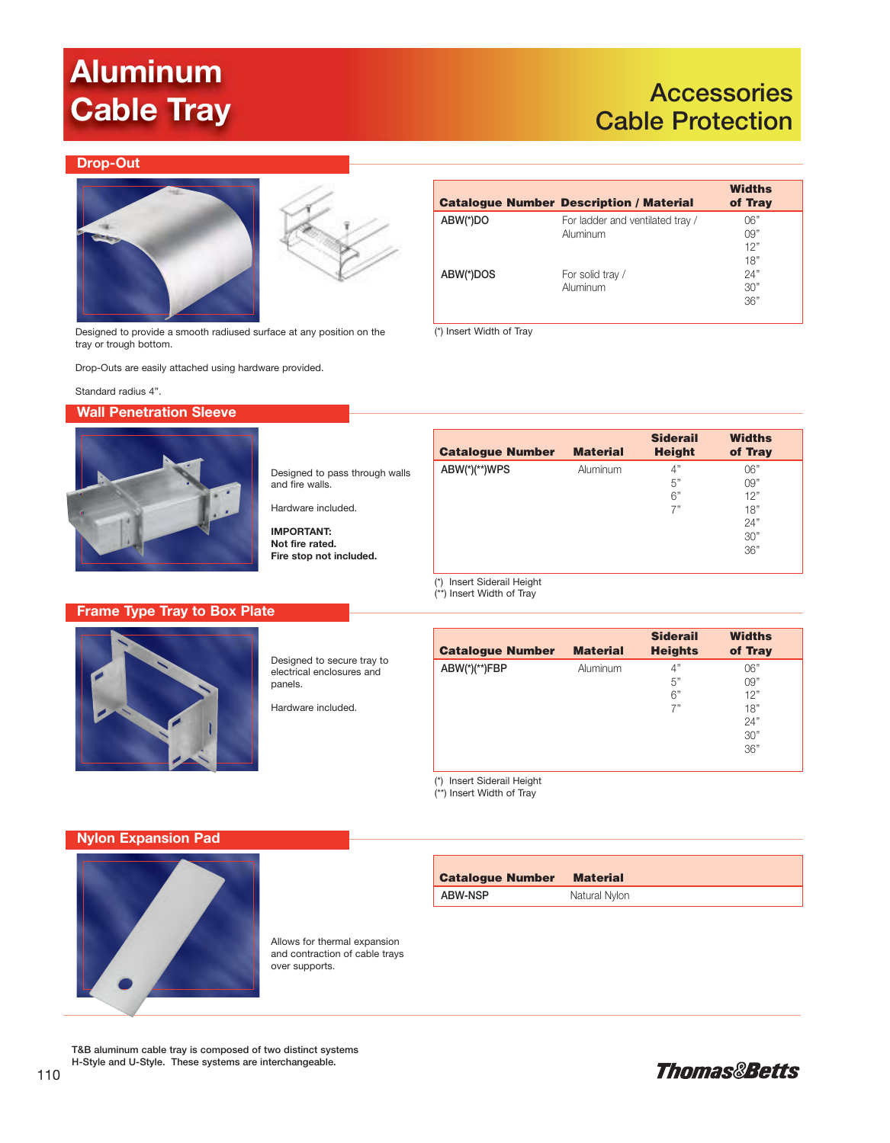### **Accessories Cable Protection**

#### **Drop-Out**





Designed to provide a smooth radiused surface at any position on the tray or trough bottom.

Drop-Outs are easily attached using hardware provided.

Standard radius 4".

#### **Wall Penetration Sleeve**



Designed to pass through walls and fire walls.

Hardware included.

**IMPORTANT: Not fire rated. Fire stop not included.**

|           | <b>Catalogue Number Description / Material</b> | <b>Widths</b><br>of Tray |
|-----------|------------------------------------------------|--------------------------|
| ABW(*)DO  | For ladder and ventilated tray /<br>Aluminum   | 06"<br>09"<br>12"        |
| ABW(*)DOS | For solid tray /<br>Aluminum                   | 18"<br>24"<br>30"<br>36" |

(\*) Insert Width of Tray

| <b>Catalogue Number</b> | <b>Material</b> | <b>Siderail</b><br><b>Height</b> | <b>Widths</b><br>of Tray |
|-------------------------|-----------------|----------------------------------|--------------------------|
| ABW(*)(**)WPS           | Aluminum        | 4"                               | 06"                      |
|                         |                 | 5"                               | 09"                      |
|                         |                 | 6"                               | 12"                      |
|                         |                 | 7"                               | 18"                      |
|                         |                 |                                  | 24"                      |
|                         |                 |                                  | 30"                      |
|                         |                 |                                  | 36"                      |

(\*) Insert Siderail Height (\*\*) Insert Width of Tray

**Frame Type Tray to Box Plate**



Designed to secure tray to electrical enclosures and panels.

Hardware included.

| <b>Catalogue Number</b> | <b>Material</b> | <b>Siderail</b><br><b>Heights</b> | <b>Widths</b><br>of Tray                      |
|-------------------------|-----------------|-----------------------------------|-----------------------------------------------|
| ABW(*)(**)FBP           | Aluminum        | 4"<br>5"<br>6"<br>7"              | 06"<br>09"<br>12"<br>18"<br>24"<br>30"<br>36" |

(\*) Insert Siderail Height (\*\*) Insert Width of Tray

**Nylon Expansion Pad**



Allows for thermal expansion and contraction of cable trays over supports.

| <b>Catalogue Number</b> | <b>Material</b> |
|-------------------------|-----------------|
| ABW-NSP                 | Natural Nylon   |

**Thomas&Betts**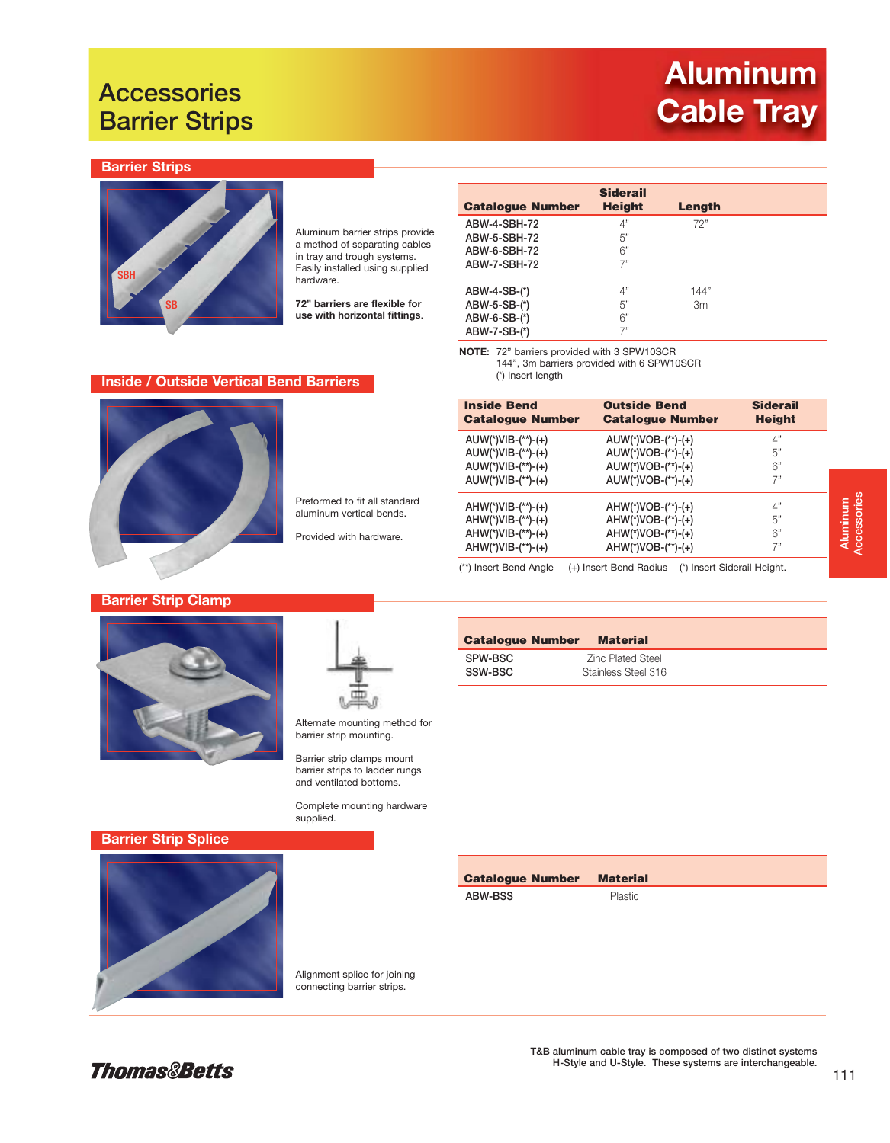## **Accessories Barrier Strips**

## **Aluminum Cable Tray**

#### **Barrier Strips**



Aluminum barrier strips provide a method of separating cables in tray and trough systems. Easily installed using supplied hardware.

**72" barriers are flexible for use with horizontal fittings**.

|                         | <b>Siderail</b> |        |  |
|-------------------------|-----------------|--------|--|
| <b>Catalogue Number</b> | <b>Height</b>   | Length |  |
| ABW-4-SBH-72            | 4"              | 72"    |  |
| ABW-5-SBH-72            | 5"              |        |  |
| ABW-6-SBH-72            | 6"              |        |  |
| <b>ABW-7-SBH-72</b>     | 7"              |        |  |
| ABW-4-SB-(*)            | 4"              | 144"   |  |
| ABW-5-SB-(*)            | 5"              | 3m     |  |
| ABW-6-SB-(*)            | 6"              |        |  |
| ABW-7-SB-(*)            | 7"              |        |  |

**NOTE:** 72" barriers provided with 3 SPW10SCR 144", 3m barriers provided with 6 SPW10SCR (\*) Insert length

#### **Inside / Outside Vertical Bend Barriers**



Preformed to fit all standard aluminum vertical bends.

Provided with hardware.

| <b>Inside Bend</b>      | <b>Outside Bend</b>     | <b>Siderail</b> |
|-------------------------|-------------------------|-----------------|
| <b>Catalogue Number</b> | <b>Catalogue Number</b> | <b>Height</b>   |
| $AUW(*)VIB-(**)-(+)$    | AUW(*)VOB-(**)-(+)      | 4"              |
| $AUW(*)VIB-(**)-(+)$    | $AUW(*)VOB-(**)-(+)$    | 5"              |
| $AUW(*)VIB-(**)-(+)$    | $AUW(*)VOB-(**)-(+)$    | 6"              |
| AUW(*)VIB-(**)-(+)      | $AUW(*)VOB-(**)-(+)$    | 7"              |
| $AHW(*)VIB-(**)-(+)$    | $AHW(*)VOB-(**)-(+)$    | 4"              |
| AHW(*)VIB-(**)-(+)      | AHW(*)VOB-(**)-(+)      | 5"              |
| AHW(*)VIB-(**)-(+)      | AHW(*)VOB-(**)-(+)      | 6"              |
| AHW(*)VIB-(**)-(+)      | AHW(*)VOB-(**)-(+)      | 7"              |

(\*\*) Insert Bend Angle (+) Insert Bend Radius (\*) Insert Siderail Height.

#### **Barrier Strip Clamp**



|             | ŗ.               |
|-------------|------------------|
|             | ٠<br>۸           |
| ٠<br>7<br>π | 7<br>$\sim$<br>ń |
|             | ŵ                |

Alternate mounting method for barrier strip mounting.

Barrier strip clamps mount barrier strips to ladder rungs and ventilated bottoms.

Complete mounting hardware supplied.

| <b>Catalogue Number</b> | <b>Material</b>          |  |
|-------------------------|--------------------------|--|
| SPW-BSC                 | <b>Zinc Plated Steel</b> |  |
| <b>SSW-BSC</b>          | Stainless Steel 316      |  |

| <b>Catalogue Number Material</b> |         |  |
|----------------------------------|---------|--|
| ABW-BSS                          | Plastic |  |

#### **Barrier Strip Splice**



Alignment splice for joining connecting barrier strips.